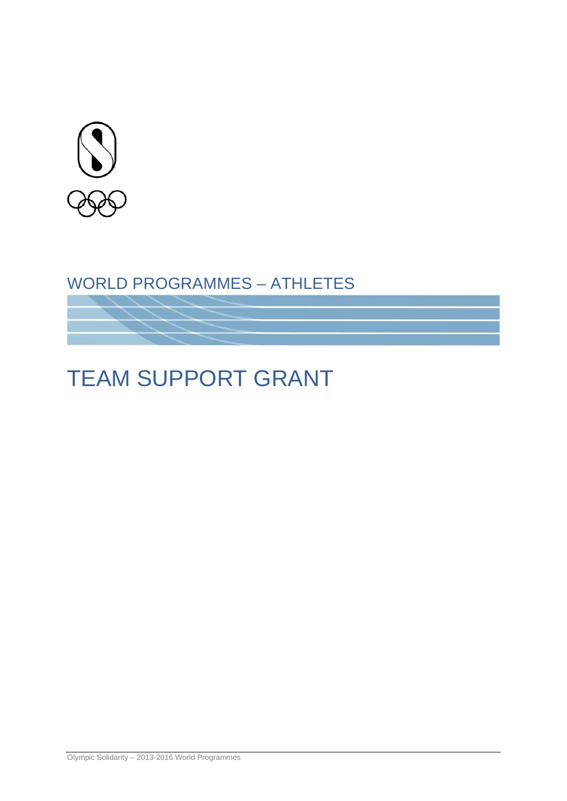

### WORLD PROGRAMMES – ATHLETES

# TEAM SUPPORT GRANT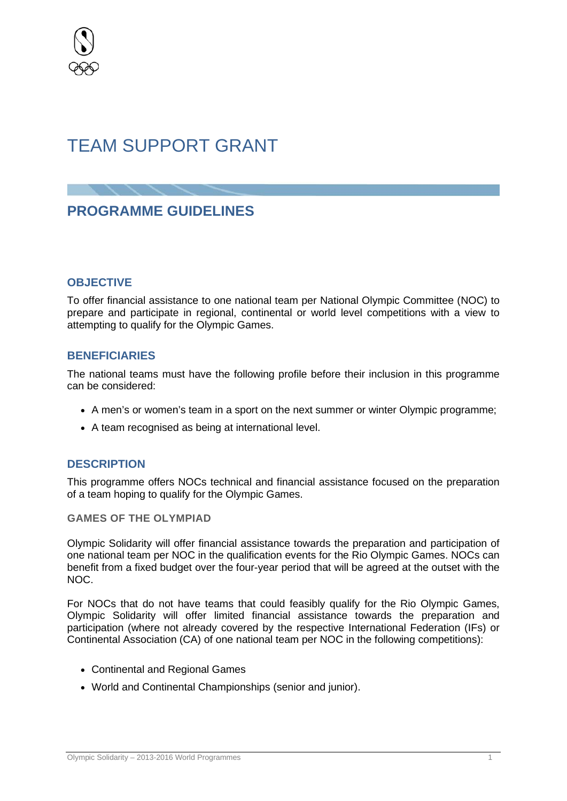

## TEAM SUPPORT GRANT

### **PROGRAMME GUIDELINES**

#### **OBJECTIVE**

To offer financial assistance to one national team per National Olympic Committee (NOC) to prepare and participate in regional, continental or world level competitions with a view to attempting to qualify for the Olympic Games.

#### **BENEFICIARIES**

The national teams must have the following profile before their inclusion in this programme can be considered:

- A men's or women's team in a sport on the next summer or winter Olympic programme;
- A team recognised as being at international level.

#### **DESCRIPTION**

This programme offers NOCs technical and financial assistance focused on the preparation of a team hoping to qualify for the Olympic Games.

**GAMES OF THE OLYMPIAD**

Olympic Solidarity will offer financial assistance towards the preparation and participation of one national team per NOC in the qualification events for the Rio Olympic Games. NOCs can benefit from a fixed budget over the four-year period that will be agreed at the outset with the NOC.

For NOCs that do not have teams that could feasibly qualify for the Rio Olympic Games, Olympic Solidarity will offer limited financial assistance towards the preparation and participation (where not already covered by the respective International Federation (IFs) or Continental Association (CA) of one national team per NOC in the following competitions):

- Continental and Regional Games
- World and Continental Championships (senior and junior).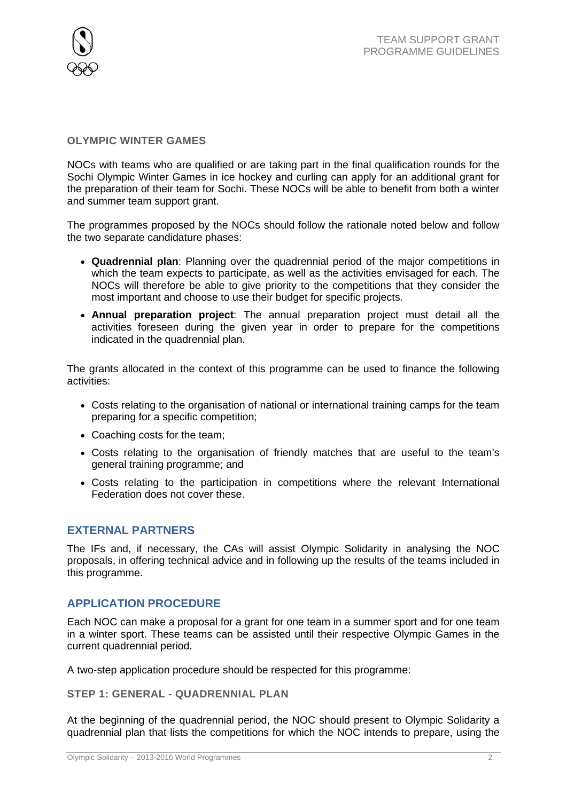

#### **OLYMPIC WINTER GAMES**

NOCs with teams who are qualified or are taking part in the final qualification rounds for the Sochi Olympic Winter Games in ice hockey and curling can apply for an additional grant for the preparation of their team for Sochi. These NOCs will be able to benefit from both a winter and summer team support grant.

The programmes proposed by the NOCs should follow the rationale noted below and follow the two separate candidature phases:

- **Quadrennial plan**: Planning over the quadrennial period of the major competitions in which the team expects to participate, as well as the activities envisaged for each. The NOCs will therefore be able to give priority to the competitions that they consider the most important and choose to use their budget for specific projects.
- **Annual preparation project**: The annual preparation project must detail all the activities foreseen during the given year in order to prepare for the competitions indicated in the quadrennial plan.

The grants allocated in the context of this programme can be used to finance the following activities:

- Costs relating to the organisation of national or international training camps for the team preparing for a specific competition;
- Coaching costs for the team;
- Costs relating to the organisation of friendly matches that are useful to the team's general training programme; and
- Costs relating to the participation in competitions where the relevant International Federation does not cover these.

#### **EXTERNAL PARTNERS**

The IFs and, if necessary, the CAs will assist Olympic Solidarity in analysing the NOC proposals, in offering technical advice and in following up the results of the teams included in this programme.

#### **APPLICATION PROCEDURE**

Each NOC can make a proposal for a grant for one team in a summer sport and for one team in a winter sport. These teams can be assisted until their respective Olympic Games in the current quadrennial period.

A two-step application procedure should be respected for this programme:

**STEP 1: GENERAL - QUADRENNIAL PLAN**

At the beginning of the quadrennial period, the NOC should present to Olympic Solidarity a quadrennial plan that lists the competitions for which the NOC intends to prepare, using the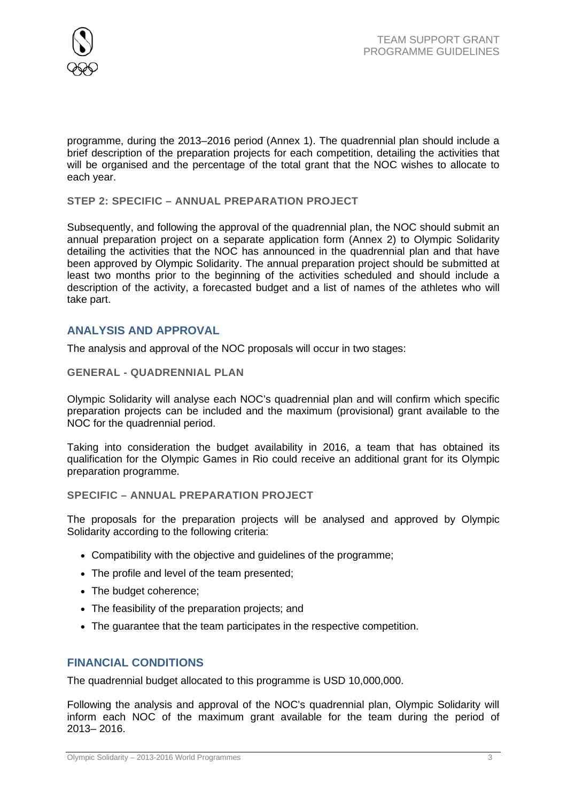

programme, during the 2013–2016 period (Annex 1). The quadrennial plan should include a brief description of the preparation projects for each competition, detailing the activities that will be organised and the percentage of the total grant that the NOC wishes to allocate to each year.

#### **STEP 2: SPECIFIC – ANNUAL PREPARATION PROJECT**

Subsequently, and following the approval of the quadrennial plan, the NOC should submit an annual preparation project on a separate application form (Annex 2) to Olympic Solidarity detailing the activities that the NOC has announced in the quadrennial plan and that have been approved by Olympic Solidarity. The annual preparation project should be submitted at least two months prior to the beginning of the activities scheduled and should include a description of the activity, a forecasted budget and a list of names of the athletes who will take part.

#### **ANALYSIS AND APPROVAL**

The analysis and approval of the NOC proposals will occur in two stages:

#### **GENERAL - QUADRENNIAL PLAN**

Olympic Solidarity will analyse each NOC's quadrennial plan and will confirm which specific preparation projects can be included and the maximum (provisional) grant available to the NOC for the quadrennial period.

Taking into consideration the budget availability in 2016, a team that has obtained its qualification for the Olympic Games in Rio could receive an additional grant for its Olympic preparation programme.

#### **SPECIFIC – ANNUAL PREPARATION PROJECT**

The proposals for the preparation projects will be analysed and approved by Olympic Solidarity according to the following criteria:

- Compatibility with the objective and guidelines of the programme;
- The profile and level of the team presented;
- The budget coherence;
- The feasibility of the preparation projects; and
- The guarantee that the team participates in the respective competition.

#### **FINANCIAL CONDITIONS**

The quadrennial budget allocated to this programme is USD 10,000,000.

Following the analysis and approval of the NOC's quadrennial plan, Olympic Solidarity will inform each NOC of the maximum grant available for the team during the period of 2013– 2016.